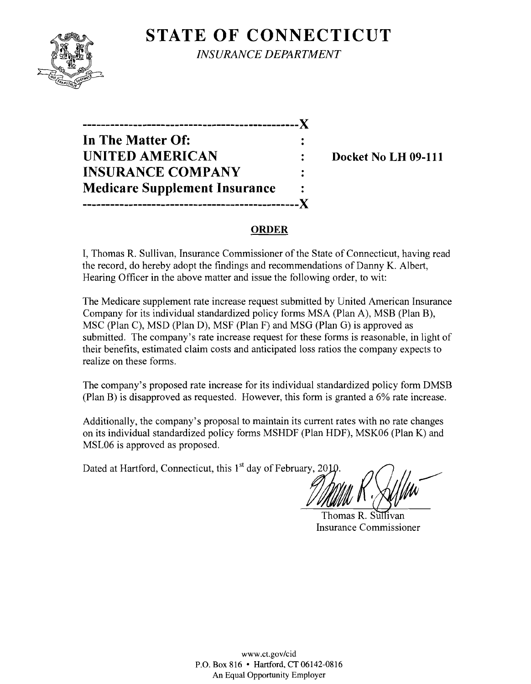# **STATE OF CONNECTICUT**



*INSURANCE DEPARTMENT* 



### **ORDER**

I, Thomas R. Sullivan, Insurance Commissioner of the State of Connecticut, having read the record, do hereby adopt the findings and recommendations of Danny K. Albert, Hearing Officer in the above matter and issue the following order, to wit:

The Medicare supplement rate increase request submitted by United American Insurance Company for its individual standardized policy forms MSA (Plan A), MSB (Plan B), MSC (Plan C), MSD (Plan D), MSF (Plan F) and MSG (Plan G) is approved as submitted. The company's rate increase request for these forms is reasonable, in light of their benefits, estimated claim costs and anticipated loss ratios the company expects to realize on these forms.

The company's proposed rate increase for its individual standardized policy form DMSB (Plan B) is disapproved as requested. However, this form is granted a 6% rate increase.

Additionally, the company's proposal to maintain its current rates with no rate changes on its individual standardized policy forms MSHDF (Plan HDF), MSK06 (Plan K) and MSL06 is approved as proposed.

Dated at Hartford, Connecticut, this  $1<sup>st</sup>$  day of February, 2010

Thomas R. Sullivan Insurance Commissioner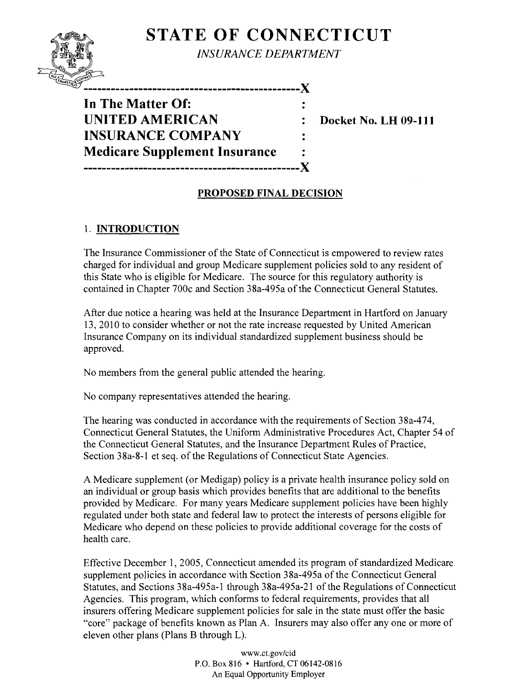## **STATE OF CONNECTICUT**



*INSURANCE DEPARTMENT* 

**In The Matter Of: UNITED AMERICAN** : Docket No. LH 09-111 **INSURANCE COMPANY Medicare Supplement Insurance**  -----------------------------------------------)(

-----------------------------------------------)(

## PROPOSED FINAL DECISION

## 1. INTRODUCTION

The Insurance Commissioner of the State of Connecticut is empowered to review rates charged for individual and group Medicare supplement policies sold to any resident of this State who is eligible for Medicare. The source for this regulatory authority is contained in Chapter 700c and Section 38a-495a of the Connecticut General Statutes.

After due notice a hearing was held at the Insurance Department in Hartford on January 13,2010 to consider whether or not the rate increase requested by United American Insurance Company on its individual standardized supplement business should be approved.

No members from the general public attended the hearing.

No company representatives attended the hearing.

The hearing was conducted in accordance with the requirements of Section 38a-474, Connecticut General Statutes, the Uniform Administrative Procedures Act, Chapter 54 of the Connecticut General Statutes, and the Insurance Department Rules of Practice, Section 38a-8-1 et seq. of the Regulations of Connecticut State Agencies.

A Medicare supplement (or Medigap) policy is a private health insurance policy sold on an individual or group basis which provides benefits that are additional to the benefits provided by Medicare. For many years Medicare supplement policies have been highly regulated under both state and federal law to protect the interests of persons eligible for Medicare who depend on these policies to provide additional coverage for the costs of health care.

Effective December 1, 2005, Connecticut amended its program of standardized Medicare supplement policies in accordance with Section 38a-495a of the Connecticut General Statutes, and Sections 38a-495a-l through 38a-495a-21 of the Regulations of Connecticut Agencies. This program, which conforms to federal requirements, provides that all insurers offering Medicare supplement policies for sale in the state must offer the basic "core" package of benefits known as Plan A. Insurers may also offer anyone or more of eleven other plans (Plans B through L).

> www.ct.gov/cid P.O. Box 816 • Hartford, CT 06142-0816 An Equal Opportunity Employer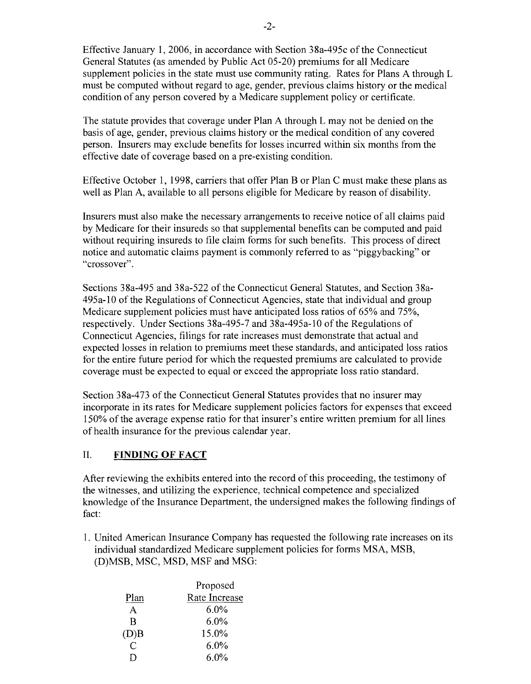Effective January 1,2006, in accordance with Section 38a-495c ofthe Connecticut General Statutes (as amended by Public Act 05-20) premiums for all Medicare supplement policies in the state must use community rating. Rates for Plans A through L must be computed without regard to age, gender, previous claims history or the medical condition of any person covered by a Medicare supplement policy or certificate.

The statute provides that coverage under Plan A through L may not be denied on the basis of age, gender, previous claims history or the medical condition of any covered person. Insurers may exclude benefits for losses incurred within six months from the effective date of coverage based on a pre-existing condition.

Effective October 1, 1998, carriers that offer Plan B or Plan C must make these plans as well as Plan A, available to all persons eligible for Medicare by reason of disability.

Insurers must also make the necessary arrangements to receive notice of all claims paid by Medicare for their insureds so that supplemental benefits can be computed and paid without requiring insureds to file claim forms for such benefits. This process of direct notice and automatic claims payment is commonly referred to as "piggybacking" or "crossover".

Sections 38a-495 and 38a-522 of the Connecticut General Statutes, and Section 38a-495a-10 of the Regulations of Connecticut Agencies, state that individual and group Medicare supplement policies must have anticipated loss ratios of 65% and 75%, respectively. Under Sections 38a-495-7 and 38a-495a-10 of the Regulations of Connecticut Agencies, filings for rate increases must demonstrate that actual and expected losses in relation to premiums meet these standards, and anticipated loss ratios for the entire future period for which the requested premiums are calculated to provide coverage must be expected to equal or exceed the appropriate loss ratio standard.

Section 38a-473 of the Connecticut General Statutes provides that no insurer may incorporate in its rates for Medicare supplement policies factors for expenses that exceed 150% of the average expense ratio for that insurer's entire written premium for all lines of health insurance for the previous calendar year.

## II. **FINDING OF FACT**

After reviewing the exhibits entered into the record of this proceeding, the testimony of the witnesses, and utilizing the experience, technical competence and specialized knowledge of the Insurance Department, the undersigned makes the following findings of fact:

1. United American Insurance Company has requested the following rate increases on its individual standardized Medicare supplement policies for forms MSA, MSB, (D)MSB, MSC, MSD, MSF and MSG:

|      | Proposed      |  |
|------|---------------|--|
| Plan | Rate Increase |  |
| A    | 6.0%          |  |
| R    | $6.0\%$       |  |
| (D)B | 15.0%         |  |
|      | $6.0\%$       |  |
|      | 6.0%          |  |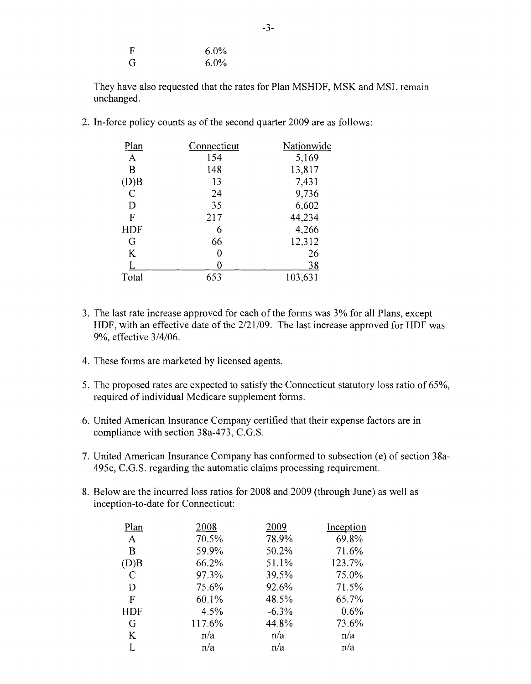| $\mathbf F$ | $6.0\%$ |
|-------------|---------|
| G           | $6.0\%$ |

They have also requested that the rates for Plan MSHDF, MSK and MSL remain unchanged.

2. In-force policy counts as of the second quarter 2009 are as follows:

| <u>Plan</u> | Connecticut | Nationwide |
|-------------|-------------|------------|
| A           | 154         | 5,169      |
| B           | 148         | 13,817     |
| (D)B        | 13          | 7,431      |
| $\mathbf C$ | 24          | 9,736      |
| D           | 35          | 6,602      |
| F           | 217         | 44,234     |
| <b>HDF</b>  | 6           | 4,266      |
| G           | 66          | 12,312     |
| K           | 0           | 26         |
|             |             | 38         |
| Total       | 653         | 103,631    |

- 3. The last rate increase approved for each of the forms was 3% for all Plans, except HDF, with an effective date of the  $2/21/09$ . The last increase approved for HDF was 9%, effective 3/4/06.
- 4. These forms are marketed by licensed agents.
- 5. The proposed rates are expected to satisfy the Connecticut statutory loss ratio of 65%, required of individual Medicare supplement forms.
- 6. United American Insurance Company certified that their expense factors are in compliance with section 38a-473, C.G.S.
- 7. United American Insurance Company has conformed to subsection (e) of section 38a-495c, C.G.S. regarding the automatic claims processing requirement.
- 8. Below are the incurred loss ratios for 2008 and 2009 (through June) as well as inception-to-date for Connecticut:

| Plan        | 2008   | 2009    | Inception |
|-------------|--------|---------|-----------|
| A           | 70.5%  | 78.9%   | 69.8%     |
| B           | 59.9%  | 50.2%   | 71.6%     |
| (D)B        | 66.2%  | 51.1%   | 123.7%    |
| $\mathbf C$ | 97.3%  | 39.5%   | 75.0%     |
| D           | 75.6%  | 92.6%   | 71.5%     |
| $\mathbf F$ | 60.1%  | 48.5%   | 65.7%     |
| <b>HDF</b>  | 4.5%   | $-6.3%$ | 0.6%      |
| G           | 117.6% | 44.8%   | 73.6%     |
| K           | n/a    | n/a     | n/a       |
| I.          | n/a    | n/a     | n/a       |